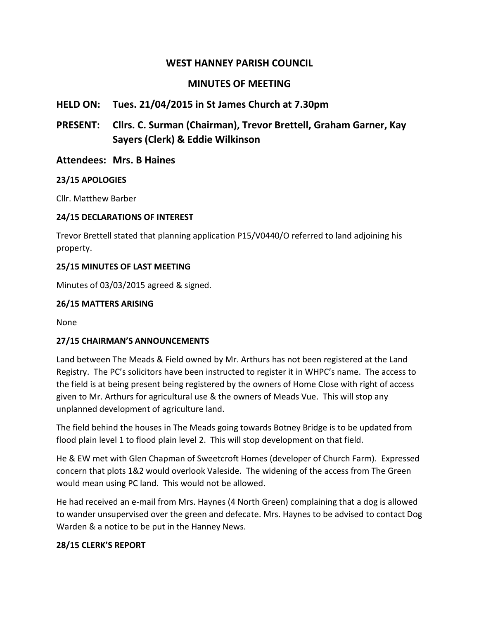## **WEST HANNEY PARISH COUNCIL**

# **MINUTES OF MEETING**

## **HELD ON: Tues. 21/04/2015 in St James Church at 7.30pm**

**PRESENT: Cllrs. C. Surman (Chairman), Trevor Brettell, Graham Garner, Kay Sayers (Clerk) & Eddie Wilkinson**

## **Attendees: Mrs. B Haines**

#### **23/15 APOLOGIES**

Cllr. Matthew Barber

#### **24/15 DECLARATIONS OF INTEREST**

Trevor Brettell stated that planning application P15/V0440/O referred to land adjoining his property.

#### **25/15 MINUTES OF LAST MEETING**

Minutes of 03/03/2015 agreed & signed.

#### **26/15 MATTERS ARISING**

None

#### **27/15 CHAIRMAN'S ANNOUNCEMENTS**

Land between The Meads & Field owned by Mr. Arthurs has not been registered at the Land Registry. The PC's solicitors have been instructed to register it in WHPC's name. The access to the field is at being present being registered by the owners of Home Close with right of access given to Mr. Arthurs for agricultural use & the owners of Meads Vue. This will stop any unplanned development of agriculture land.

The field behind the houses in The Meads going towards Botney Bridge is to be updated from flood plain level 1 to flood plain level 2. This will stop development on that field.

He & EW met with Glen Chapman of Sweetcroft Homes (developer of Church Farm). Expressed concern that plots 1&2 would overlook Valeside. The widening of the access from The Green would mean using PC land. This would not be allowed.

He had received an e-mail from Mrs. Haynes (4 North Green) complaining that a dog is allowed to wander unsupervised over the green and defecate. Mrs. Haynes to be advised to contact Dog Warden & a notice to be put in the Hanney News.

#### **28/15 CLERK'S REPORT**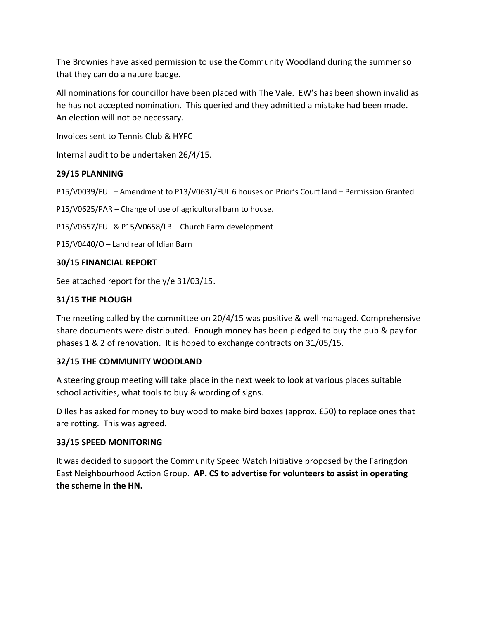The Brownies have asked permission to use the Community Woodland during the summer so that they can do a nature badge.

All nominations for councillor have been placed with The Vale. EW's has been shown invalid as he has not accepted nomination. This queried and they admitted a mistake had been made. An election will not be necessary.

Invoices sent to Tennis Club & HYFC

Internal audit to be undertaken 26/4/15.

## **29/15 PLANNING**

P15/V0039/FUL – Amendment to P13/V0631/FUL 6 houses on Prior's Court land – Permission Granted

P15/V0625/PAR – Change of use of agricultural barn to house.

P15/V0657/FUL & P15/V0658/LB – Church Farm development

P15/V0440/O – Land rear of Idian Barn

#### **30/15 FINANCIAL REPORT**

See attached report for the y/e 31/03/15.

#### **31/15 THE PLOUGH**

The meeting called by the committee on 20/4/15 was positive & well managed. Comprehensive share documents were distributed. Enough money has been pledged to buy the pub & pay for phases 1 & 2 of renovation. It is hoped to exchange contracts on 31/05/15.

#### **32/15 THE COMMUNITY WOODLAND**

A steering group meeting will take place in the next week to look at various places suitable school activities, what tools to buy & wording of signs.

D Iles has asked for money to buy wood to make bird boxes (approx. £50) to replace ones that are rotting. This was agreed.

#### **33/15 SPEED MONITORING**

It was decided to support the Community Speed Watch Initiative proposed by the Faringdon East Neighbourhood Action Group. **AP. CS to advertise for volunteers to assist in operating the scheme in the HN.**